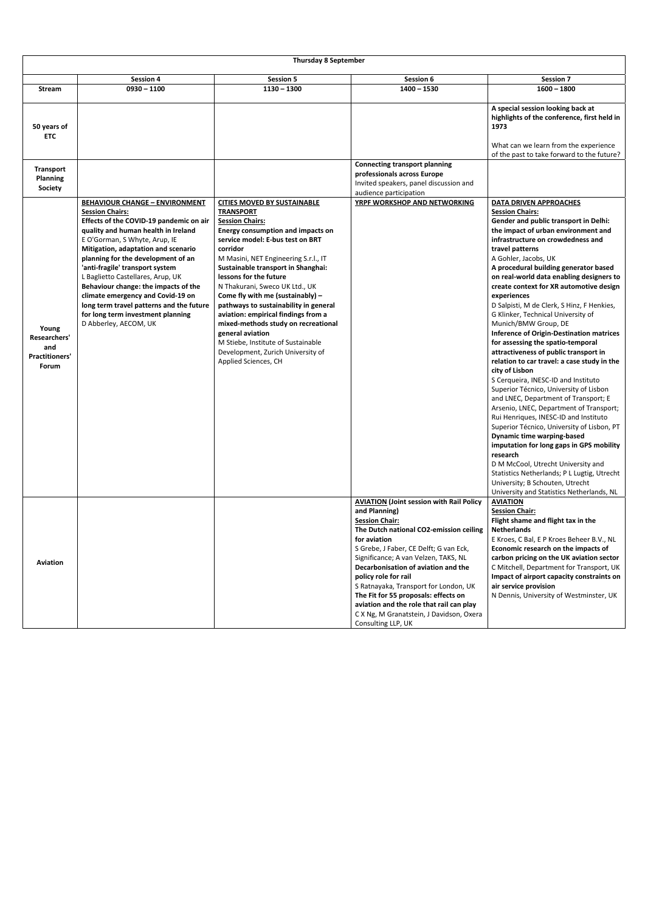|                                                                | <b>Thursday 8 September</b>                                                                                                                                                                                                                                                                                                                                                                                                                                                                                                    |                                                                                                                                                                                                                                                                                                                                                                                                                                                                                                                                                                                                          |                                                                                                                                                                                                                                                                                                                                                                                                                                                                                                      |                                                                                                                                                                                                                                                                                                                                                                                                                                                                                                                                                                                                                                                                                                                                                                                                                                                                                                                                                                                                                                                                                                                                                                                                                   |  |  |
|----------------------------------------------------------------|--------------------------------------------------------------------------------------------------------------------------------------------------------------------------------------------------------------------------------------------------------------------------------------------------------------------------------------------------------------------------------------------------------------------------------------------------------------------------------------------------------------------------------|----------------------------------------------------------------------------------------------------------------------------------------------------------------------------------------------------------------------------------------------------------------------------------------------------------------------------------------------------------------------------------------------------------------------------------------------------------------------------------------------------------------------------------------------------------------------------------------------------------|------------------------------------------------------------------------------------------------------------------------------------------------------------------------------------------------------------------------------------------------------------------------------------------------------------------------------------------------------------------------------------------------------------------------------------------------------------------------------------------------------|-------------------------------------------------------------------------------------------------------------------------------------------------------------------------------------------------------------------------------------------------------------------------------------------------------------------------------------------------------------------------------------------------------------------------------------------------------------------------------------------------------------------------------------------------------------------------------------------------------------------------------------------------------------------------------------------------------------------------------------------------------------------------------------------------------------------------------------------------------------------------------------------------------------------------------------------------------------------------------------------------------------------------------------------------------------------------------------------------------------------------------------------------------------------------------------------------------------------|--|--|
|                                                                | <b>Session 4</b>                                                                                                                                                                                                                                                                                                                                                                                                                                                                                                               | <b>Session 5</b>                                                                                                                                                                                                                                                                                                                                                                                                                                                                                                                                                                                         | Session 6                                                                                                                                                                                                                                                                                                                                                                                                                                                                                            | <b>Session 7</b>                                                                                                                                                                                                                                                                                                                                                                                                                                                                                                                                                                                                                                                                                                                                                                                                                                                                                                                                                                                                                                                                                                                                                                                                  |  |  |
| <b>Stream</b>                                                  | $0930 - 1100$                                                                                                                                                                                                                                                                                                                                                                                                                                                                                                                  | $1130 - 1300$                                                                                                                                                                                                                                                                                                                                                                                                                                                                                                                                                                                            | $1400 - 1530$                                                                                                                                                                                                                                                                                                                                                                                                                                                                                        | $1600 - 1800$                                                                                                                                                                                                                                                                                                                                                                                                                                                                                                                                                                                                                                                                                                                                                                                                                                                                                                                                                                                                                                                                                                                                                                                                     |  |  |
| 50 years of<br><b>ETC</b>                                      |                                                                                                                                                                                                                                                                                                                                                                                                                                                                                                                                |                                                                                                                                                                                                                                                                                                                                                                                                                                                                                                                                                                                                          |                                                                                                                                                                                                                                                                                                                                                                                                                                                                                                      | A special session looking back at<br>highlights of the conference, first held in<br>1973<br>What can we learn from the experience                                                                                                                                                                                                                                                                                                                                                                                                                                                                                                                                                                                                                                                                                                                                                                                                                                                                                                                                                                                                                                                                                 |  |  |
|                                                                |                                                                                                                                                                                                                                                                                                                                                                                                                                                                                                                                |                                                                                                                                                                                                                                                                                                                                                                                                                                                                                                                                                                                                          |                                                                                                                                                                                                                                                                                                                                                                                                                                                                                                      | of the past to take forward to the future?                                                                                                                                                                                                                                                                                                                                                                                                                                                                                                                                                                                                                                                                                                                                                                                                                                                                                                                                                                                                                                                                                                                                                                        |  |  |
| <b>Transport</b><br><b>Planning</b><br><b>Society</b>          |                                                                                                                                                                                                                                                                                                                                                                                                                                                                                                                                |                                                                                                                                                                                                                                                                                                                                                                                                                                                                                                                                                                                                          | <b>Connecting transport planning</b><br>professionals across Europe<br>Invited speakers, panel discussion and<br>audience participation                                                                                                                                                                                                                                                                                                                                                              |                                                                                                                                                                                                                                                                                                                                                                                                                                                                                                                                                                                                                                                                                                                                                                                                                                                                                                                                                                                                                                                                                                                                                                                                                   |  |  |
| Young<br>Researchers'<br>and<br><b>Practitioners'</b><br>Forum | <b>BEHAVIOUR CHANGE - ENVIRONMENT</b><br><b>Session Chairs:</b><br>Effects of the COVID-19 pandemic on air<br>quality and human health in Ireland<br>E O'Gorman, S Whyte, Arup, IE<br>Mitigation, adaptation and scenario<br>planning for the development of an<br>'anti-fragile' transport system<br>L Baglietto Castellares, Arup, UK<br>Behaviour change: the impacts of the<br>climate emergency and Covid-19 on<br>long term travel patterns and the future<br>for long term investment planning<br>D Abberley, AECOM, UK | <b>CITIES MOVED BY SUSTAINABLE</b><br><b>TRANSPORT</b><br><b>Session Chairs:</b><br><b>Energy consumption and impacts on</b><br>service model: E-bus test on BRT<br>corridor<br>M Masini, NET Engineering S.r.l., IT<br>Sustainable transport in Shanghai:<br>lessons for the future<br>N Thakurani, Sweco UK Ltd., UK<br>Come fly with me (sustainably) -<br>pathways to sustainability in general<br>aviation: empirical findings from a<br>mixed-methods study on recreational<br>general aviation<br>M Stiebe, Institute of Sustainable<br>Development, Zurich University of<br>Applied Sciences, CH | YRPF WORKSHOP AND NETWORKING                                                                                                                                                                                                                                                                                                                                                                                                                                                                         | <b>DATA DRIVEN APPROACHES</b><br><b>Session Chairs:</b><br>Gender and public transport in Delhi:<br>the impact of urban environment and<br>infrastructure on crowdedness and<br>travel patterns<br>A Gohler, Jacobs, UK<br>A procedural building generator based<br>on real-world data enabling designers to<br>create context for XR automotive design<br>experiences<br>D Salpisti, M de Clerk, S Hinz, F Henkies,<br>G Klinker, Technical University of<br>Munich/BMW Group, DE<br><b>Inference of Origin-Destination matrices</b><br>for assessing the spatio-temporal<br>attractiveness of public transport in<br>relation to car travel: a case study in the<br>city of Lisbon<br>S Cerqueira, INESC-ID and Instituto<br>Superior Técnico, University of Lisbon<br>and LNEC, Department of Transport; E<br>Arsenio, LNEC, Department of Transport;<br>Rui Henriques, INESC-ID and Instituto<br>Superior Técnico, University of Lisbon, PT<br><b>Dynamic time warping-based</b><br>imputation for long gaps in GPS mobility<br>research<br>D M McCool, Utrecht University and<br>Statistics Netherlands; P L Lugtig, Utrecht<br>University; B Schouten, Utrecht<br>University and Statistics Netherlands, NL |  |  |
| <b>Aviation</b>                                                |                                                                                                                                                                                                                                                                                                                                                                                                                                                                                                                                |                                                                                                                                                                                                                                                                                                                                                                                                                                                                                                                                                                                                          | <b>AVIATION (Joint session with Rail Policy</b><br>and Planning)<br><b>Session Chair:</b><br>The Dutch national CO2-emission ceiling<br>for aviation<br>S Grebe, J Faber, CE Delft; G van Eck,<br>Significance; A van Velzen, TAKS, NL<br>Decarbonisation of aviation and the<br>policy role for rail<br>S Ratnayaka, Transport for London, UK<br>The Fit for 55 proposals: effects on<br>aviation and the role that rail can play<br>C X Ng, M Granatstein, J Davidson, Oxera<br>Consulting LLP, UK | <b>AVIATION</b><br><b>Session Chair:</b><br>Flight shame and flight tax in the<br><b>Netherlands</b><br>E Kroes, C Bal, E P Kroes Beheer B.V., NL<br>Economic research on the impacts of<br>carbon pricing on the UK aviation sector<br>C Mitchell, Department for Transport, UK<br>Impact of airport capacity constraints on<br>air service provision<br>N Dennis, University of Westminster, UK                                                                                                                                                                                                                                                                                                                                                                                                                                                                                                                                                                                                                                                                                                                                                                                                                 |  |  |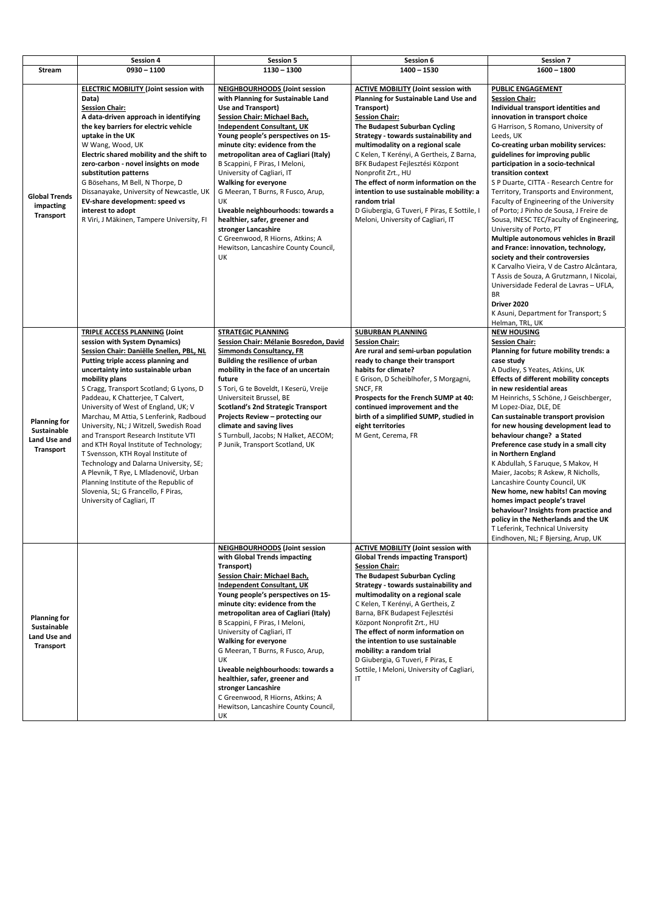|                                                                               | <b>Session 4</b>                                                                                                                                                                                                                                                                                                                                                                                                                                                                                                                                                                                                                                                                                                                                      | <b>Session 5</b>                                                                                                                                                                                                                                                                                                                                                                                                                                                                                                                                                                                                               | Session 6                                                                                                                                                                                                                                                                                                                                                                                                                                                                                                                                         | <b>Session 7</b>                                                                                                                                                                                                                                                                                                                                                                                                                                                                                                                                                                                                                                                                                                                                                                                                                                                                                     |
|-------------------------------------------------------------------------------|-------------------------------------------------------------------------------------------------------------------------------------------------------------------------------------------------------------------------------------------------------------------------------------------------------------------------------------------------------------------------------------------------------------------------------------------------------------------------------------------------------------------------------------------------------------------------------------------------------------------------------------------------------------------------------------------------------------------------------------------------------|--------------------------------------------------------------------------------------------------------------------------------------------------------------------------------------------------------------------------------------------------------------------------------------------------------------------------------------------------------------------------------------------------------------------------------------------------------------------------------------------------------------------------------------------------------------------------------------------------------------------------------|---------------------------------------------------------------------------------------------------------------------------------------------------------------------------------------------------------------------------------------------------------------------------------------------------------------------------------------------------------------------------------------------------------------------------------------------------------------------------------------------------------------------------------------------------|------------------------------------------------------------------------------------------------------------------------------------------------------------------------------------------------------------------------------------------------------------------------------------------------------------------------------------------------------------------------------------------------------------------------------------------------------------------------------------------------------------------------------------------------------------------------------------------------------------------------------------------------------------------------------------------------------------------------------------------------------------------------------------------------------------------------------------------------------------------------------------------------------|
| Stream                                                                        | $0930 - 1100$                                                                                                                                                                                                                                                                                                                                                                                                                                                                                                                                                                                                                                                                                                                                         | $1130 - 1300$                                                                                                                                                                                                                                                                                                                                                                                                                                                                                                                                                                                                                  | $1400 - 1530$                                                                                                                                                                                                                                                                                                                                                                                                                                                                                                                                     | $1600 - 1800$                                                                                                                                                                                                                                                                                                                                                                                                                                                                                                                                                                                                                                                                                                                                                                                                                                                                                        |
| <b>Global Trends</b><br>impacting<br><b>Transport</b>                         | <b>ELECTRIC MOBILITY (Joint session with</b><br>Data)<br><b>Session Chair:</b><br>A data-driven approach in identifying<br>the key barriers for electric vehicle<br>uptake in the UK<br>W Wang, Wood, UK<br>Electric shared mobility and the shift to<br>zero-carbon - novel insights on mode<br>substitution patterns<br>G Bösehans, M Bell, N Thorpe, D<br>Dissanayake, University of Newcastle, UK<br>EV-share development: speed vs<br>interest to adopt<br>R Viri, J Mäkinen, Tampere University, FI                                                                                                                                                                                                                                             | NEIGHBOURHOODS (Joint session<br>with Planning for Sustainable Land<br><b>Use and Transport)</b><br><b>Session Chair: Michael Bach,</b><br><b>Independent Consultant, UK</b><br>Young people's perspectives on 15-<br>minute city: evidence from the<br>metropolitan area of Cagliari (Italy)<br>B Scappini, F Piras, I Meloni,<br>University of Cagliari, IT<br><b>Walking for everyone</b><br>G Meeran, T Burns, R Fusco, Arup,<br><b>UK</b><br>Liveable neighbourhoods: towards a<br>healthier, safer, greener and<br>stronger Lancashire<br>C Greenwood, R Hiorns, Atkins; A<br>Hewitson, Lancashire County Council,<br>UK | <b>ACTIVE MOBILITY (Joint session with</b><br><b>Planning for Sustainable Land Use and</b><br>Transport)<br><b>Session Chair:</b><br>The Budapest Suburban Cycling<br>Strategy - towards sustainability and<br>multimodality on a regional scale<br>C Kelen, T Kerényi, A Gertheis, Z Barna,<br>BFK Budapest Fejlesztési Központ<br>Nonprofit Zrt., HU<br>The effect of norm information on the<br>intention to use sustainable mobility: a<br>random trial<br>D Giubergia, G Tuveri, F Piras, E Sottile, I<br>Meloni, University of Cagliari, IT | <b>PUBLIC ENGAGEMENT</b><br><b>Session Chair:</b><br>Individual transport identities and<br>innovation in transport choice<br>G Harrison, S Romano, University of<br>Leeds, UK<br>Co-creating urban mobility services:<br>guidelines for improving public<br>participation in a socio-technical<br>transition context<br>S P Duarte, CITTA - Research Centre for<br>Territory, Transports and Environment,<br>Faculty of Engineering of the University<br>of Porto; J Pinho de Sousa, J Freire de<br>Sousa, INESC TEC/Faculty of Engineering,<br>University of Porto, PT<br>Multiple autonomous vehicles in Brazil<br>and France: innovation, technology,<br>society and their controversies<br>K Carvalho Vieira, V de Castro Alcântara,<br>T Assis de Souza, A Grutzmann, I Nicolai,<br>Universidade Federal de Lavras - UFLA,<br><b>BR</b><br>Driver 2020<br>K Asuni, Department for Transport; S |
| <b>Planning for</b><br>Sustainable<br>Land Use and<br><b>Transport</b>        | <b>TRIPLE ACCESS PLANNING (Joint</b><br>session with System Dynamics)<br>Session Chair: Daniëlle Snellen, PBL, NL<br>Putting triple access planning and<br>uncertainty into sustainable urban<br>mobility plans<br>S Cragg, Transport Scotland; G Lyons, D<br>Paddeau, K Chatterjee, T Calvert,<br>University of West of England, UK; V<br>Marchau, M Attia, S Lenferink, Radboud<br>University, NL; J Witzell, Swedish Road<br>and Transport Research Institute VTI<br>and KTH Royal Institute of Technology;<br>T Svensson, KTH Royal Institute of<br>Technology and Dalarna University, SE;<br>A Plevnik, T Rye, L Mladenovič, Urban<br>Planning Institute of the Republic of<br>Slovenia, SL; G Francello, F Piras,<br>University of Cagliari, IT | <b>STRATEGIC PLANNING</b><br>Session Chair: Mélanie Bosredon, David<br><b>Simmonds Consultancy, FR</b><br><b>Building the resilience of urban</b><br>mobility in the face of an uncertain<br>future<br>S Tori, G te Boveldt, I Keserü, Vreije<br>Universiteit Brussel, BE<br><b>Scotland's 2nd Strategic Transport</b><br>Projects Review - protecting our<br>climate and saving lives<br>S Turnbull, Jacobs; N Halket, AECOM;<br>P Junik, Transport Scotland, UK                                                                                                                                                              | <b>SUBURBAN PLANNING</b><br><b>Session Chair:</b><br>Are rural and semi-urban population<br>ready to change their transport<br>habits for climate?<br>E Grison, D Scheiblhofer, S Morgagni,<br>SNCF, FR<br>Prospects for the French SUMP at 40:<br>continued improvement and the<br>birth of a simplified SUMP, studied in<br>eight territories<br>M Gent, Cerema, FR                                                                                                                                                                             | Helman, TRL, UK<br><b>NEW HOUSING</b><br><b>Session Chair:</b><br>Planning for future mobility trends: a<br>case study<br>A Dudley, S Yeates, Atkins, UK<br><b>Effects of different mobility concepts</b><br>in new residential areas<br>M Heinrichs, S Schöne, J Geischberger,<br>M Lopez-Diaz, DLE, DE<br>Can sustainable transport provision<br>for new housing development lead to<br>behaviour change? a Stated<br>Preference case study in a small city<br>in Northern England<br>K Abdullah, S Faruque, S Makov, H<br>Maier, Jacobs; R Askew, R Nicholls,<br>Lancashire County Council, UK<br>New home, new habits! Can moving<br>homes impact people's travel<br>behaviour? Insights from practice and<br>policy in the Netherlands and the UK<br>T Leferink, Technical University<br>Eindhoven, NL; F Bjersing, Arup, UK                                                                    |
| <b>Planning for</b><br><b>Sustainable</b><br>Land Use and<br><b>Transport</b> |                                                                                                                                                                                                                                                                                                                                                                                                                                                                                                                                                                                                                                                                                                                                                       | <b>NEIGHBOURHOODS (Joint session</b><br>with Global Trends impacting<br>Transport)<br><b>Session Chair: Michael Bach,</b><br><b>Independent Consultant, UK</b><br>Young people's perspectives on 15-<br>minute city: evidence from the<br>metropolitan area of Cagliari (Italy)<br>B Scappini, F Piras, I Meloni,<br>University of Cagliari, IT<br><b>Walking for everyone</b><br>G Meeran, T Burns, R Fusco, Arup,<br>UK<br>Liveable neighbourhoods: towards a<br>healthier, safer, greener and                                                                                                                               | <b>ACTIVE MOBILITY (Joint session with</b><br><b>Global Trends impacting Transport)</b><br><b>Session Chair:</b><br>The Budapest Suburban Cycling<br>Strategy - towards sustainability and<br>multimodality on a regional scale<br>C Kelen, T Kerényi, A Gertheis, Z<br>Barna, BFK Budapest Fejlesztési<br>Központ Nonprofit Zrt., HU<br>The effect of norm information on<br>the intention to use sustainable<br>mobility: a random trial<br>D Giubergia, G Tuveri, F Piras, E<br>Sottile, I Meloni, University of Cagliari,<br>IT               |                                                                                                                                                                                                                                                                                                                                                                                                                                                                                                                                                                                                                                                                                                                                                                                                                                                                                                      |

|  | stronger Lancashire                  |  |
|--|--------------------------------------|--|
|  | C Greenwood, R Hiorns, Atkins; A     |  |
|  | Hewitson, Lancashire County Council, |  |
|  | . UK                                 |  |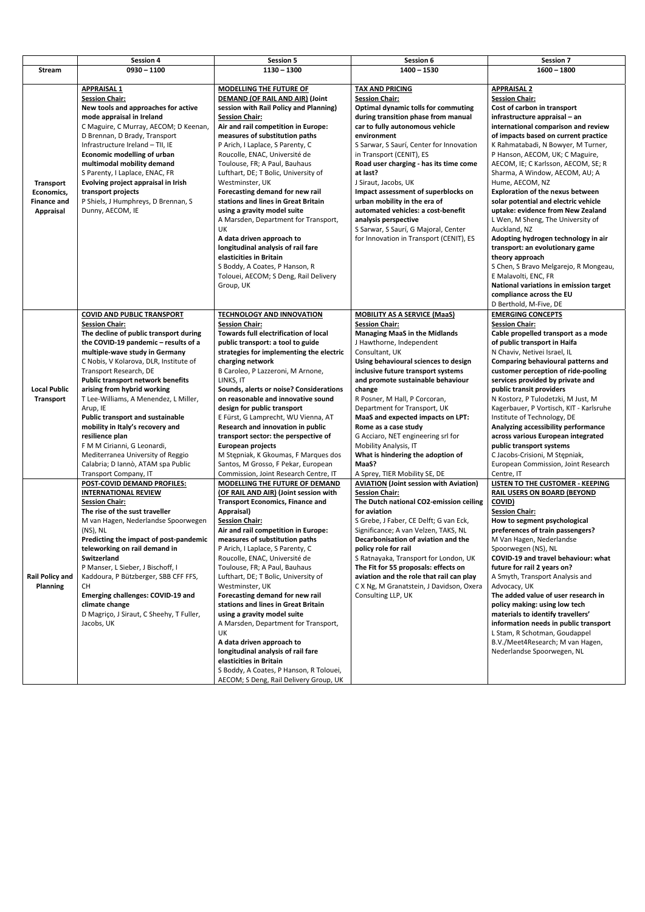|                                                                   | <b>Session 4</b>                                                                                                                                                                                                                                                                                                                                                                                                                                                                                                                                                                                                 | <b>Session 5</b>                                                                                                                                                                                                                                                                                                                                                                                                                                                                                                                                                                                                                                                                                                                              | Session 6                                                                                                                                                                                                                                                                                                                                                                                                                                                                                                                                                            | <b>Session 7</b>                                                                                                                                                                                                                                                                                                                                                                                                                                                                                                                                                                                                                                                                                                                                                                 |
|-------------------------------------------------------------------|------------------------------------------------------------------------------------------------------------------------------------------------------------------------------------------------------------------------------------------------------------------------------------------------------------------------------------------------------------------------------------------------------------------------------------------------------------------------------------------------------------------------------------------------------------------------------------------------------------------|-----------------------------------------------------------------------------------------------------------------------------------------------------------------------------------------------------------------------------------------------------------------------------------------------------------------------------------------------------------------------------------------------------------------------------------------------------------------------------------------------------------------------------------------------------------------------------------------------------------------------------------------------------------------------------------------------------------------------------------------------|----------------------------------------------------------------------------------------------------------------------------------------------------------------------------------------------------------------------------------------------------------------------------------------------------------------------------------------------------------------------------------------------------------------------------------------------------------------------------------------------------------------------------------------------------------------------|----------------------------------------------------------------------------------------------------------------------------------------------------------------------------------------------------------------------------------------------------------------------------------------------------------------------------------------------------------------------------------------------------------------------------------------------------------------------------------------------------------------------------------------------------------------------------------------------------------------------------------------------------------------------------------------------------------------------------------------------------------------------------------|
| <b>Stream</b>                                                     | $0930 - 1100$                                                                                                                                                                                                                                                                                                                                                                                                                                                                                                                                                                                                    | $1130 - 1300$                                                                                                                                                                                                                                                                                                                                                                                                                                                                                                                                                                                                                                                                                                                                 | $1400 - 1530$                                                                                                                                                                                                                                                                                                                                                                                                                                                                                                                                                        | $1600 - 1800$                                                                                                                                                                                                                                                                                                                                                                                                                                                                                                                                                                                                                                                                                                                                                                    |
|                                                                   |                                                                                                                                                                                                                                                                                                                                                                                                                                                                                                                                                                                                                  |                                                                                                                                                                                                                                                                                                                                                                                                                                                                                                                                                                                                                                                                                                                                               |                                                                                                                                                                                                                                                                                                                                                                                                                                                                                                                                                                      |                                                                                                                                                                                                                                                                                                                                                                                                                                                                                                                                                                                                                                                                                                                                                                                  |
| <b>Transport</b><br>Economics,<br><b>Finance and</b><br>Appraisal | <b>APPRAISAL 1</b><br><b>Session Chair:</b><br>New tools and approaches for active<br>mode appraisal in Ireland<br>C Maguire, C Murray, AECOM; D Keenan,<br>D Brennan, D Brady, Transport<br>Infrastructure Ireland - TII, IE<br>Economic modelling of urban<br>multimodal mobility demand<br>S Parenty, I Laplace, ENAC, FR<br>Evolving project appraisal in Irish<br>transport projects<br>P Shiels, J Humphreys, D Brennan, S<br>Dunny, AECOM, IE                                                                                                                                                             | MODELLING THE FUTURE OF<br><b>DEMAND (OF RAIL AND AIR) (Joint</b><br>session with Rail Policy and Planning)<br><b>Session Chair:</b><br>Air and rail competition in Europe:<br>measures of substitution paths<br>P Arich, I Laplace, S Parenty, C<br>Roucolle, ENAC, Université de<br>Toulouse, FR; A Paul, Bauhaus<br>Lufthart, DE; T Bolic, University of<br>Westminster, UK<br>Forecasting demand for new rail<br>stations and lines in Great Britain<br>using a gravity model suite<br>A Marsden, Department for Transport,<br><b>UK</b><br>A data driven approach to<br>longitudinal analysis of rail fare<br>elasticities in Britain<br>S Boddy, A Coates, P Hanson, R<br>Tolouei, AECOM; S Deng, Rail Delivery<br>Group, UK            | <b>TAX AND PRICING</b><br><b>Session Chair:</b><br><b>Optimal dynamic tolls for commuting</b><br>during transition phase from manual<br>car to fully autonomous vehicle<br>environment<br>S Sarwar, S Saurí, Center for Innovation<br>in Transport (CENIT), ES<br>Road user charging - has its time come<br>at last?<br>J Siraut, Jacobs, UK<br>Impact assessment of superblocks on<br>urban mobility in the era of<br>automated vehicles: a cost-benefit<br>analysis perspective<br>S Sarwar, S Saurí, G Majoral, Center<br>for Innovation in Transport (CENIT), ES | <b>APPRAISAL 2</b><br><b>Session Chair:</b><br>Cost of carbon in transport<br>infrastructure appraisal - an<br>international comparison and review<br>of impacts based on current practice<br>K Rahmatabadi, N Bowyer, M Turner,<br>P Hanson, AECOM, UK; C Maguire,<br>AECOM, IE; C Karlsson, AECOM, SE; R<br>Sharma, A Window, AECOM, AU; A<br>Hume, AECOM, NZ<br><b>Exploration of the nexus between</b><br>solar potential and electric vehicle<br>uptake: evidence from New Zealand<br>L Wen, M Sheng, The University of<br>Auckland, NZ<br>Adopting hydrogen technology in air<br>transport: an evolutionary game<br>theory approach<br>S Chen, S Bravo Melgarejo, R Mongeau,<br>E Malavolti, ENC, FR<br>National variations in emission target<br>compliance across the EU |
| <b>Local Public</b><br><b>Transport</b>                           | <b>COVID AND PUBLIC TRANSPORT</b><br><b>Session Chair:</b><br>The decline of public transport during<br>the COVID-19 pandemic - results of a<br>multiple-wave study in Germany<br>C Nobis, V Kolarova, DLR, Institute of<br>Transport Research, DE<br>Public transport network benefits<br>arising from hybrid working<br>T Lee-Williams, A Menendez, L Miller,<br>Arup, IE<br><b>Public transport and sustainable</b><br>mobility in Italy's recovery and<br>resilience plan<br>F M M Cirianni, G Leonardi,<br>Mediterranea University of Reggio<br>Calabria; D Iannò, ATAM spa Public<br>Transport Company, IT | <b>TECHNOLOGY AND INNOVATION</b><br><b>Session Chair:</b><br><b>Towards full electrification of local</b><br>public transport: a tool to guide<br>strategies for implementing the electric<br>charging network<br>B Caroleo, P Lazzeroni, M Arnone,<br>LINKS, IT<br>Sounds, alerts or noise? Considerations<br>on reasonable and innovative sound<br>design for public transport<br>E Fürst, G Lamprecht, WU Vienna, AT<br>Research and innovation in public<br>transport sector: the perspective of<br><b>European projects</b><br>M Stępniak, K Gkoumas, F Marques dos<br>Santos, M Grosso, F Pekar, European<br>Commission, Joint Research Centre, IT                                                                                      | <b>MOBILITY AS A SERVICE (MaaS)</b><br><b>Session Chair:</b><br><b>Managing MaaS in the Midlands</b><br>J Hawthorne, Independent<br>Consultant, UK<br>Using behavioural sciences to design<br>inclusive future transport systems<br>and promote sustainable behaviour<br>change<br>R Posner, M Hall, P Corcoran,<br>Department for Transport, UK<br>MaaS and expected impacts on LPT:<br>Rome as a case study<br>G Acciaro, NET engineering srl for<br>Mobility Analysis, IT<br>What is hindering the adoption of<br>MaaS?<br>A Sprey, TIER Mobility SE, DE          | D Berthold, M-Five, DE<br><b>EMERGING CONCEPTS</b><br><b>Session Chair:</b><br>Cable propelled transport as a mode<br>of public transport in Haifa<br>N Chaviv, Netivei Israel, IL<br><b>Comparing behavioural patterns and</b><br>customer perception of ride-pooling<br>services provided by private and<br>public transit providers<br>N Kostorz, P Tulodetzki, M Just, M<br>Kagerbauer, P Vortisch, KIT - Karlsruhe<br>Institute of Technology, DE<br>Analyzing accessibility performance<br>across various European integrated<br>public transport systems<br>C Jacobs-Crisioni, M Stepniak,<br>European Commission, Joint Research<br>Centre, IT                                                                                                                           |
| <b>Rail Policy and</b><br><b>Planning</b>                         | POST-COVID DEMAND PROFILES:<br><b>INTERNATIONAL REVIEW</b><br><b>Session Chair:</b><br>The rise of the sust traveller<br>M van Hagen, Nederlandse Spoorwegen<br>$(NS)$ , NL<br>Predicting the impact of post-pandemic<br>teleworking on rail demand in<br>Switzerland<br>P Manser, L Sieber, J Bischoff, I<br>Kaddoura, P Bützberger, SBB CFF FFS,<br><b>CH</b><br><b>Emerging challenges: COVID-19 and</b><br>climate change<br>D Magriço, J Siraut, C Sheehy, T Fuller,<br>Jacobs, UK                                                                                                                          | MODELLING THE FUTURE OF DEMAND<br>(OF RAIL AND AIR) (Joint session with<br><b>Transport Economics, Finance and</b><br>Appraisal)<br><b>Session Chair:</b><br>Air and rail competition in Europe:<br>measures of substitution paths<br>P Arich, I Laplace, S Parenty, C<br>Roucolle, ENAC, Université de<br>Toulouse, FR; A Paul, Bauhaus<br>Lufthart, DE; T Bolic, University of<br>Westminster, UK<br>Forecasting demand for new rail<br>stations and lines in Great Britain<br>using a gravity model suite<br>A Marsden, Department for Transport,<br>UK<br>A data driven approach to<br>longitudinal analysis of rail fare<br>elasticities in Britain<br>S Boddy, A Coates, P Hanson, R Tolouei,<br>AECOM; S Deng, Rail Delivery Group, UK | <b>AVIATION (Joint session with Aviation)</b><br><b>Session Chair:</b><br>The Dutch national CO2-emission ceiling<br>for aviation<br>S Grebe, J Faber, CE Delft; G van Eck,<br>Significance; A van Velzen, TAKS, NL<br>Decarbonisation of aviation and the<br>policy role for rail<br>S Ratnayaka, Transport for London, UK<br>The Fit for 55 proposals: effects on<br>aviation and the role that rail can play<br>C X Ng, M Granatstein, J Davidson, Oxera<br>Consulting LLP, UK                                                                                    | LISTEN TO THE CUSTOMER - KEEPING<br><b>RAIL USERS ON BOARD (BEYOND</b><br>COVID)<br><b>Session Chair:</b><br>How to segment psychological<br>preferences of train passengers?<br>M Van Hagen, Nederlandse<br>Spoorwegen (NS), NL<br>COVID-19 and travel behaviour: what<br>future for rail 2 years on?<br>A Smyth, Transport Analysis and<br>Advocacy, UK<br>The added value of user research in<br>policy making: using low tech<br>materials to identify travellers'<br>information needs in public transport<br>L Stam, R Schotman, Goudappel<br>B.V./Meet4Research; M van Hagen,<br>Nederlandse Spoorwegen, NL                                                                                                                                                               |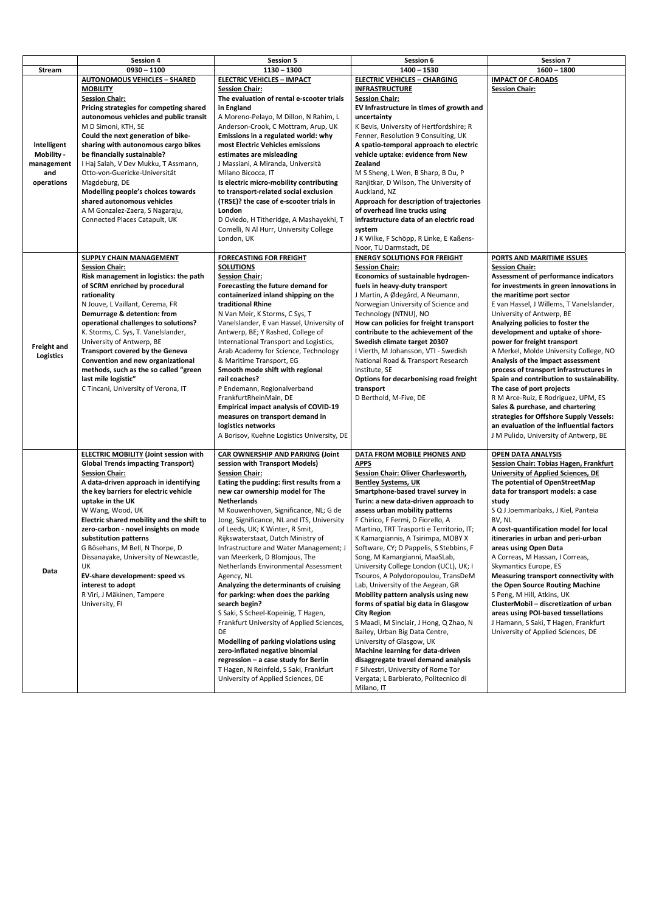|                    | <b>Session 4</b>                             | <b>Session 5</b>                             | Session 6                                  | <b>Session 7</b>                              |
|--------------------|----------------------------------------------|----------------------------------------------|--------------------------------------------|-----------------------------------------------|
| <b>Stream</b>      | $0930 - 1100$                                | $1130 - 1300$                                | $1400 - 1530$                              | $1600 - 1800$                                 |
|                    | <b>AUTONOMOUS VEHICLES - SHARED</b>          | <b>ELECTRIC VEHICLES - IMPACT</b>            | <b>ELECTRIC VEHICLES - CHARGING</b>        | <b>IMPACT OF C-ROADS</b>                      |
|                    | <b>MOBILITY</b>                              | <b>Session Chair:</b>                        | <b>INFRASTRUCTURE</b>                      | <b>Session Chair:</b>                         |
|                    | <b>Session Chair:</b>                        | The evaluation of rental e-scooter trials    | <b>Session Chair:</b>                      |                                               |
|                    | Pricing strategies for competing shared      | in England                                   | EV Infrastructure in times of growth and   |                                               |
|                    |                                              |                                              |                                            |                                               |
|                    | autonomous vehicles and public transit       | A Moreno-Pelayo, M Dillon, N Rahim, L        | uncertainty                                |                                               |
|                    | M D Simoni, KTH, SE                          | Anderson-Crook, C Mottram, Arup, UK          | K Bevis, University of Hertfordshire; R    |                                               |
|                    | Could the next generation of bike-           | Emissions in a regulated world: why          | Fenner, Resolution 9 Consulting, UK        |                                               |
| Intelligent        | sharing with autonomous cargo bikes          | most Electric Vehicles emissions             | A spatio-temporal approach to electric     |                                               |
| Mobility -         | be financially sustainable?                  | estimates are misleading                     | vehicle uptake: evidence from New          |                                               |
| management         | I Haj Salah, V Dev Mukku, T Assmann,         | J Massiani, A Miranda, Università            | <b>Zealand</b>                             |                                               |
| and                | Otto-von-Guericke-Universität                | Milano Bicocca, IT                           | M S Sheng, L Wen, B Sharp, B Du, P         |                                               |
| operations         | Magdeburg, DE                                | Is electric micro-mobility contributing      | Ranjitkar, D Wilson, The University of     |                                               |
|                    | Modelling people's choices towards           | to transport-related social exclusion        | Auckland, NZ                               |                                               |
|                    | shared autonomous vehicles                   | (TRSE)? the case of e-scooter trials in      | Approach for description of trajectories   |                                               |
|                    | A M Gonzalez-Zaera, S Nagaraju,              | London                                       | of overhead line trucks using              |                                               |
|                    | Connected Places Catapult, UK                | D Oviedo, H Titheridge, A Mashayekhi, T      | infrastructure data of an electric road    |                                               |
|                    |                                              | Comelli, N Al Hurr, University College       | system                                     |                                               |
|                    |                                              |                                              |                                            |                                               |
|                    |                                              | London, UK                                   | J K Wilke, F Schöpp, R Linke, E Kaßens-    |                                               |
|                    |                                              |                                              | Noor, TU Darmstadt, DE                     |                                               |
|                    | SUPPLY CHAIN MANAGEMENT                      | <b>FORECASTING FOR FREIGHT</b>               | <b>ENERGY SOLUTIONS FOR FREIGHT</b>        | PORTS AND MARITIME ISSUES                     |
|                    | <b>Session Chair:</b>                        | <b>SOLUTIONS</b>                             | <b>Session Chair:</b>                      | <b>Session Chair:</b>                         |
|                    | Risk management in logistics: the path       | <b>Session Chair:</b>                        | <b>Economics of sustainable hydrogen-</b>  | <b>Assessment of performance indicators</b>   |
|                    | of SCRM enriched by procedural               | Forecasting the future demand for            | fuels in heavy-duty transport              | for investments in green innovations in       |
|                    | rationality                                  | containerized inland shipping on the         | J Martin, A Ødegård, A Neumann,            | the maritime port sector                      |
|                    | N Jouve, L Vaillant, Cerema, FR              | traditional Rhine                            | Norwegian University of Science and        | E van Hassel, J Willems, T Vanelslander,      |
|                    | Demurrage & detention: from                  | N Van Meir, K Storms, C Sys, T               | Technology (NTNU), NO                      | University of Antwerp, BE                     |
|                    | operational challenges to solutions?         | Vanelslander, E van Hassel, University of    | How can policies for freight transport     | Analyzing policies to foster the              |
|                    | K. Storms, C. Sys, T. Vanelslander,          | Antwerp, BE; Y Rashed, College of            | contribute to the achievement of the       | development and uptake of shore-              |
|                    | University of Antwerp, BE                    | International Transport and Logistics,       | Swedish climate target 2030?               | power for freight transport                   |
| <b>Freight and</b> |                                              |                                              |                                            |                                               |
| <b>Logistics</b>   | <b>Transport covered by the Geneva</b>       | Arab Academy for Science, Technology         | I Vierth, M Johansson, VTI - Swedish       | A Merkel, Molde University College, NO        |
|                    | Convention and new organizational            | & Maritime Transport, EG                     | National Road & Transport Research         | Analysis of the impact assessment             |
|                    | methods, such as the so called "green        | Smooth mode shift with regional              | Institute, SE                              | process of transport infrastructures in       |
|                    | last mile logistic"                          | rail coaches?                                | Options for decarbonising road freight     | Spain and contribution to sustainability.     |
|                    | C Tincani, University of Verona, IT          | P Endemann, Regionalverband                  | transport                                  | The case of port projects                     |
|                    |                                              | FrankfurtRheinMain, DE                       | D Berthold, M-Five, DE                     | R M Arce-Ruiz, E Rodriguez, UPM, ES           |
|                    |                                              | <b>Empirical impact analysis of COVID-19</b> |                                            | Sales & purchase, and chartering              |
|                    |                                              | measures on transport demand in              |                                            | strategies for Offshore Supply Vessels:       |
|                    |                                              | logistics networks                           |                                            | an evaluation of the influential factors      |
|                    |                                              | A Borisov, Kuehne Logistics University, DE   |                                            | J M Pulido, University of Antwerp, BE         |
|                    |                                              |                                              |                                            |                                               |
|                    | <b>ELECTRIC MOBILITY (Joint session with</b> | <b>CAR OWNERSHIP AND PARKING (Joint</b>      | DATA FROM MOBILE PHONES AND                | <b>OPEN DATA ANALYSIS</b>                     |
|                    | <b>Global Trends impacting Transport)</b>    | session with Transport Models)               | <b>APPS</b>                                | <b>Session Chair: Tobias Hagen, Frankfurt</b> |
|                    | <b>Session Chair:</b>                        | <b>Session Chair:</b>                        | <b>Session Chair: Oliver Charlesworth,</b> | <b>University of Applied Sciences, DE</b>     |
|                    |                                              | Eating the pudding: first results from a     |                                            |                                               |
|                    | A data-driven approach in identifying        |                                              | <b>Bentley Systems, UK</b>                 | The potential of OpenStreetMap                |
|                    | the key barriers for electric vehicle        | new car ownership model for The              | Smartphone-based travel survey in          | data for transport models: a case             |
|                    | uptake in the UK                             | <b>Netherlands</b>                           | Turin: a new data-driven approach to       | study                                         |
|                    | W Wang, Wood, UK                             | M Kouwenhoven, Significance, NL; G de        | assess urban mobility patterns             | S Q J Joemmanbaks, J Kiel, Panteia            |
|                    | Electric shared mobility and the shift to    | Jong, Significance, NL and ITS, University   | F Chirico, F Fermi, D Fiorello, A          | BV, NL                                        |
|                    | zero-carbon - novel insights on mode         | of Leeds, UK; K Winter, R Smit,              | Martino, TRT Trasporti e Territorio, IT;   | A cost-quantification model for local         |
|                    | substitution patterns                        | Rijkswaterstaat, Dutch Ministry of           | K Kamargiannis, A Tsirimpa, MOBY X         | itineraries in urban and peri-urban           |
|                    | G Bösehans, M Bell, N Thorpe, D              | Infrastructure and Water Management; J       | Software, CY; D Pappelis, S Stebbins, F    | areas using Open Data                         |
|                    | Dissanayake, University of Newcastle,        | van Meerkerk, D Blomjous, The                | Song, M Kamargianni, MaaSLab,              | A Correas, M Hassan, I Correas,               |
|                    | UK                                           | Netherlands Environmental Assessment         |                                            | Skymantics Europe, ES                         |
| Data               |                                              |                                              | University College London (UCL), UK; I     |                                               |
|                    | EV-share development: speed vs               | Agency, NL                                   | Tsouros, A Polydoropoulou, TransDeM        | Measuring transport connectivity with         |
|                    | interest to adopt                            | Analyzing the determinants of cruising       | Lab, University of the Aegean, GR          | the Open Source Routing Machine               |
|                    | R Viri, J Mäkinen, Tampere                   | for parking: when does the parking           | Mobility pattern analysis using new        | S Peng, M Hill, Atkins, UK                    |
|                    | University, FI                               | search begin?                                | forms of spatial big data in Glasgow       | ClusterMobil - discretization of urban        |
|                    |                                              | S Saki, S Scheel-Kopeinig, T Hagen,          | <b>City Region</b>                         | areas using POI-based tessellations           |
|                    |                                              | Frankfurt University of Applied Sciences,    | S Maadi, M Sinclair, J Hong, Q Zhao, N     | J Hamann, S Saki, T Hagen, Frankfurt          |
|                    |                                              | DE                                           | Bailey, Urban Big Data Centre,             | University of Applied Sciences, DE            |
|                    |                                              | Modelling of parking violations using        | University of Glasgow, UK                  |                                               |
|                    |                                              | zero-inflated negative binomial              | Machine learning for data-driven           |                                               |
|                    |                                              |                                              |                                            |                                               |
|                    |                                              | regression - a case study for Berlin         | disaggregate travel demand analysis        |                                               |
|                    |                                              | T Hagen, N Reinfeld, S Saki, Frankfurt       | F Silvestri, University of Rome Tor        |                                               |
|                    |                                              | University of Applied Sciences, DE           | Vergata; L Barbierato, Politecnico di      |                                               |
|                    |                                              |                                              | Milano IT                                  |                                               |

|  |  | 17111 U I IV. I I |  |
|--|--|-------------------|--|
|  |  |                   |  |